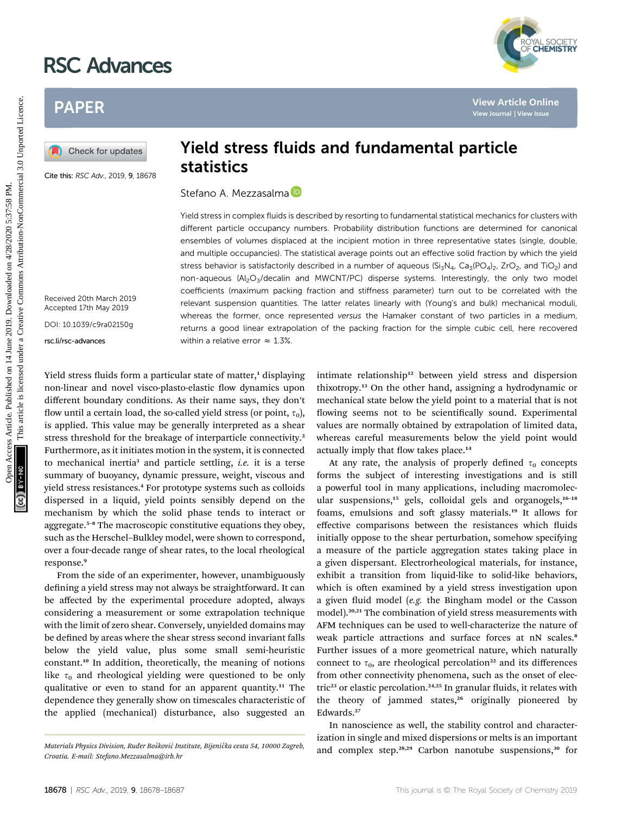## RSC Advances

### PAPER

Cite this: RSC Adv., 2019, 9, 18678

#### Yield stress fluids and fundamental particle statistics

#### Stefano A. Mezzasalma<sup>(D</sup>

Received 20th March 2019 Accepted 17th May 2019

DOI: 10.1039/c9ra02150g

rsc.li/rsc-advances

# Yield stress in complex fluids is described by resorting to fundamental statistical mechanics for clusters with different particle occupancy numbers. Probability distribution functions are determined for canonical ensembles of volumes displaced at the incipient motion in three representative states (single, double, and multiple occupancies). The statistical average points out an effective solid fraction by which the yield stress behavior is satisfactorily described in a number of aqueous ( $Si_7N_4$ ,  $Ca_7(PO_4)_2$ , ZrO<sub>2</sub>, and TiO<sub>2</sub>) and non-aqueous (Al<sub>2</sub>O<sub>3</sub>/decalin and MWCNT/PC) disperse systems. Interestingly, the only two model coefficients (maximum packing fraction and stiffness parameter) turn out to be correlated with the relevant suspension quantities. The latter relates linearly with (Young's and bulk) mechanical moduli, whereas the former, once represented versus the Hamaker constant of two particles in a medium, returns a good linear extrapolation of the packing fraction for the simple cubic cell, here recovered within a relative error  $\approx 1.3\%$ . **PAPER**<br> **PAPER**<br> **PAPER**<br> **PAPER**<br> **PAPER**<br> **PAPER**<br> **PAPER**<br> **PAPER**<br> **PAPER**<br> **PAPER**<br> **PAPER**<br> **PAPER**<br> **PAPER CONTING STATISTICS**<br> **PAPER CONTING STATISTICS**<br> **PAPER CONTING STATISTICS**<br> **PAPER CONTING STATISTICS**<br>

Yield stress fluids form a particular state of matter, $<sup>1</sup>$  displaying</sup> non-linear and novel visco-plasto-elastic flow dynamics upon different boundary conditions. As their name says, they don't flow until a certain load, the so-called yield stress (or point,  $\tau_0$ ), is applied. This value may be generally interpreted as a shear stress threshold for the breakage of interparticle connectivity.<sup>2</sup> Furthermore, as it initiates motion in the system, it is connected to mechanical inertia<sup>3</sup> and particle settling, *i.e.* it is a terse summary of buoyancy, dynamic pressure, weight, viscous and yield stress resistances.<sup>4</sup> For prototype systems such as colloids dispersed in a liquid, yield points sensibly depend on the mechanism by which the solid phase tends to interact or aggregate.<sup>5-8</sup> The macroscopic constitutive equations they obey, such as the Herschel–Bulkley model, were shown to correspond, over a four-decade range of shear rates, to the local rheological response.<sup>9</sup>

From the side of an experimenter, however, unambiguously defining a yield stress may not always be straightforward. It can be affected by the experimental procedure adopted, always considering a measurement or some extrapolation technique with the limit of zero shear. Conversely, unyielded domains may be defined by areas where the shear stress second invariant falls below the yield value, plus some small semi-heuristic constant.<sup>10</sup> In addition, theoretically, the meaning of notions like  $\tau_0$  and rheological yielding were questioned to be only qualitative or even to stand for an apparent quantity.<sup>11</sup> The dependence they generally show on timescales characteristic of the applied (mechanical) disturbance, also suggested an

intimate relationship<sup>12</sup> between yield stress and dispersion thixotropy.<sup>13</sup> On the other hand, assigning a hydrodynamic or mechanical state below the yield point to a material that is not flowing seems not to be scientifically sound. Experimental values are normally obtained by extrapolation of limited data, whereas careful measurements below the yield point would actually imply that flow takes place.<sup>14</sup>

At any rate, the analysis of properly defined  $\tau_0$  concepts forms the subject of interesting investigations and is still a powerful tool in many applications, including macromolecular suspensions,<sup>15</sup> gels, colloidal gels and organogels,<sup>16-18</sup> foams, emulsions and soft glassy materials.<sup>19</sup> It allows for effective comparisons between the resistances which fluids initially oppose to the shear perturbation, somehow specifying a measure of the particle aggregation states taking place in a given dispersant. Electrorheological materials, for instance, exhibit a transition from liquid-like to solid-like behaviors, which is often examined by a yield stress investigation upon a given fluid model  $(e.g.$  the Bingham model or the Casson model).20,21 The combination of yield stress measurements with AFM techniques can be used to well-characterize the nature of weak particle attractions and surface forces at nN scales.<sup>8</sup> Further issues of a more geometrical nature, which naturally connect to  $\tau_0$ , are rheological percolation<sup>22</sup> and its differences from other connectivity phenomena, such as the onset of electric<sup>23</sup> or elastic percolation.<sup>24,25</sup> In granular fluids, it relates with the theory of jammed states,<sup>26</sup> originally pioneered by Edwards.<sup>27</sup>

In nanoscience as well, the stability control and characterization in single and mixed dispersions or melts is an important Materials Physics Division, Ruder Bošković Institute, Bijenička cesta 54, 10000 Zagreb,<br>Carotic Emeil Stefan Marsockus@inkatery



Croatia. E-mail: Stefano.Mezzasalma@irb.hr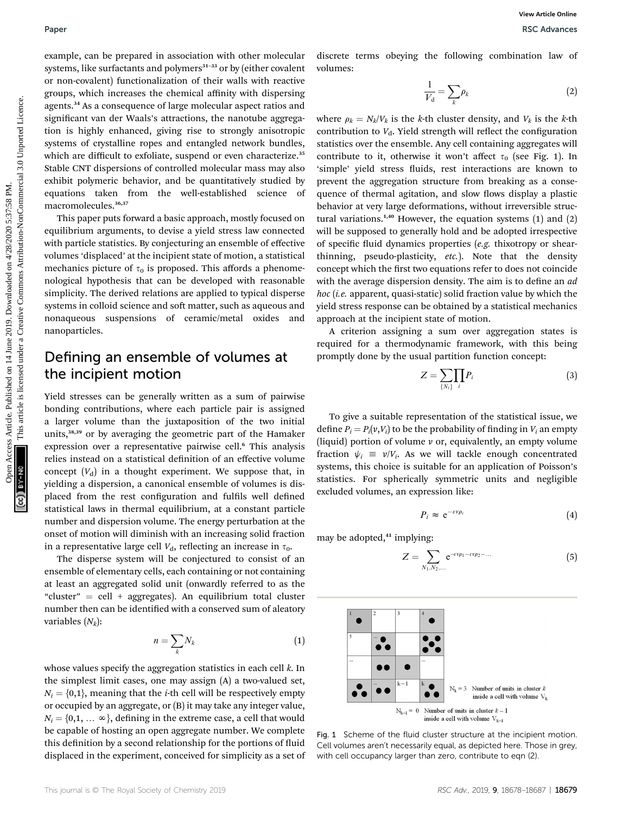example, can be prepared in association with other molecular systems, like surfactants and polymers $31-33$  or by (either covalent or non-covalent) functionalization of their walls with reactive groups, which increases the chemical affinity with dispersing agents.<sup>34</sup> As a consequence of large molecular aspect ratios and significant van der Waals's attractions, the nanotube aggregation is highly enhanced, giving rise to strongly anisotropic systems of crystalline ropes and entangled network bundles, which are difficult to exfoliate, suspend or even characterize.<sup>35</sup> Stable CNT dispersions of controlled molecular mass may also exhibit polymeric behavior, and be quantitatively studied by equations taken from the well-established science of macromolecules.36,37

This paper puts forward a basic approach, mostly focused on equilibrium arguments, to devise a yield stress law connected with particle statistics. By conjecturing an ensemble of effective volumes 'displaced' at the incipient state of motion, a statistical mechanics picture of  $\tau_0$  is proposed. This affords a phenomenological hypothesis that can be developed with reasonable simplicity. The derived relations are applied to typical disperse systems in colloid science and soft matter, such as aqueous and nonaqueous suspensions of ceramic/metal oxides and nanoparticles.

#### Defining an ensemble of volumes at the incipient motion

Yield stresses can be generally written as a sum of pairwise bonding contributions, where each particle pair is assigned a larger volume than the juxtaposition of the two initial units,38,39 or by averaging the geometric part of the Hamaker expression over a representative pairwise cell.<sup>6</sup> This analysis relies instead on a statistical definition of an effective volume concept  $(V_d)$  in a thought experiment. We suppose that, in yielding a dispersion, a canonical ensemble of volumes is displaced from the rest configuration and fulfils well defined statistical laws in thermal equilibrium, at a constant particle number and dispersion volume. The energy perturbation at the onset of motion will diminish with an increasing solid fraction in a representative large cell  $V_{d}$ , reflecting an increase in  $\tau_{0}$ .

The disperse system will be conjectured to consist of an ensemble of elementary cells, each containing or not containing at least an aggregated solid unit (onwardly referred to as the "cluster" = cell + aggregates). An equilibrium total cluster number then can be identified with a conserved sum of aleatory variables  $(N_k)$ :

$$
n = \sum_{k} N_k \tag{1}
$$

whose values specify the aggregation statistics in each cell  $k$ . In the simplest limit cases, one may assign (A) a two-valued set,  $N_i = \{0,1\}$ , meaning that the *i*-th cell will be respectively empty or occupied by an aggregate, or (B) it may take any integer value,  $N_i = \{0,1, \ldots \infty\}$ , defining in the extreme case, a cell that would be capable of hosting an open aggregate number. We complete this definition by a second relationship for the portions of fluid displaced in the experiment, conceived for simplicity as a set of discrete terms obeying the following combination law of volumes:

$$
\frac{1}{V_{\rm d}} = \sum_{k} \rho_k \tag{2}
$$

where  $\rho_k = N_k/V_k$  is the k-th cluster density, and  $V_k$  is the k-th contribution to  $V<sub>d</sub>$ . Yield strength will reflect the configuration statistics over the ensemble. Any cell containing aggregates will contribute to it, otherwise it won't affect  $\tau_0$  (see Fig. 1). In 'simple' yield stress fluids, rest interactions are known to prevent the aggregation structure from breaking as a consequence of thermal agitation, and slow flows display a plastic behavior at very large deformations, without irreversible structural variations.<sup>1,40</sup> However, the equation systems  $(1)$  and  $(2)$ will be supposed to generally hold and be adopted irrespective of specific fluid dynamics properties  $(e.g.$  thixotropy or shearthinning, pseudo-plasticity, etc.). Note that the density concept which the first two equations refer to does not coincide with the average dispersion density. The aim is to define an ad  $hoc$  (i.e. apparent, quasi-static) solid fraction value by which the yield stress response can be obtained by a statistical mechanics approach at the incipient state of motion. Paper<br> **Converting the article controlled on 14 June 2019.** This article is likely the controlled on the paper article is likely the controlled on 2019. The common access Article is likely the common access Article is lik

A criterion assigning a sum over aggregation states is required for a thermodynamic framework, with this being promptly done by the usual partition function concept:

$$
Z = \sum_{\{N_i\}} \prod_i P_i \tag{3}
$$

To give a suitable representation of the statistical issue, we define  $P_i = P_i(v, V_i)$  to be the probability of finding in  $V_i$  an empty (liquid) portion of volume  $\nu$  or, equivalently, an empty volume fraction  $\psi_i \equiv v/V_i$ . As we will tackle enough concentrated systems, this choice is suitable for an application of Poisson's statistics. For spherically symmetric units and negligible excluded volumes, an expression like:

$$
P_i \approx e^{-\varepsilon \nu \rho_i} \tag{4}
$$

may be adopted, $41$  implying:

$$
Z = \sum_{N_1, N_2, \dots} e^{-\epsilon v \rho_1 - \epsilon v \rho_2 - \dots} \tag{5}
$$



Fig. 1 Scheme of the fluid cluster structure at the incipient motion. Cell volumes aren't necessarily equal, as depicted here. Those in grey, with cell occupancy larger than zero, contribute to eqn (2).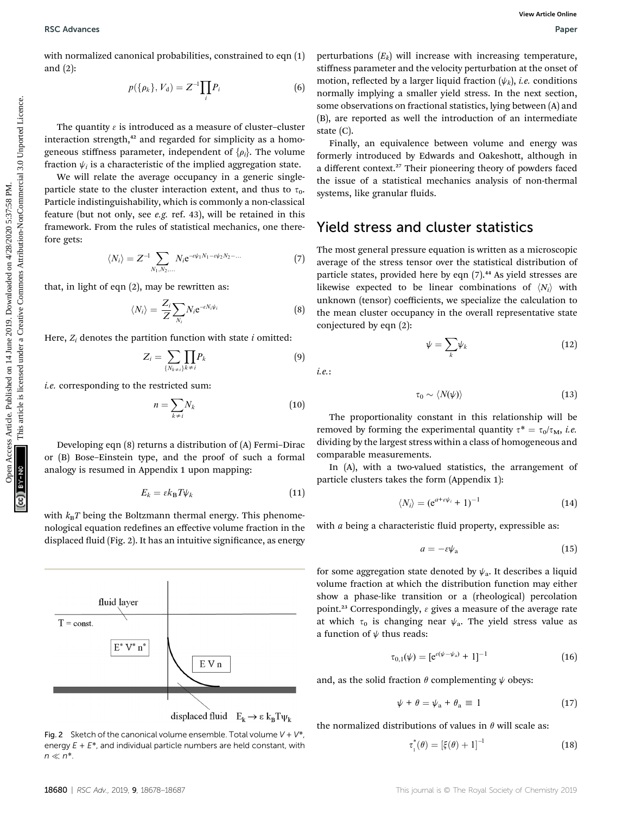with normalized canonical probabilities, constrained to eqn (1) and (2):

$$
p(\{\rho_k\}, V_d) = Z^{-1} \prod_i P_i
$$
 (6)

The quantity  $\varepsilon$  is introduced as a measure of cluster–cluster interaction strength, $42$  and regarded for simplicity as a homogeneous stiffness parameter, independent of  $\{\rho_i\}$ . The volume fraction  $\psi_i$  is a characteristic of the implied aggregation state.

We will relate the average occupancy in a generic singleparticle state to the cluster interaction extent, and thus to  $\tau_0$ . Particle indistinguishability, which is commonly a non-classical feature (but not only, see e.g. ref. 43), will be retained in this framework. From the rules of statistical mechanics, one therefore gets:

$$
\langle N_i \rangle = Z^{-1} \sum_{N_1, N_2, \dots} N_i e^{-\epsilon \psi_1 N_1 - \epsilon \psi_2 N_2 - \dots} \tag{7}
$$

that, in light of eqn (2), may be rewritten as:

$$
\langle N_i \rangle = \frac{Z_i}{Z} \sum_{N_i} N_i e^{-\epsilon N_i \psi_i}
$$
 (8)

Here,  $Z_i$  denotes the partition function with state  $i$  omitted:

$$
Z_i = \sum_{\{N_{k+i}\}} \prod_{k \neq i} P_k \tag{9}
$$

i.e. corresponding to the restricted sum:

$$
n = \sum_{k \neq i} N_k \tag{10}
$$

Developing eqn (8) returns a distribution of (A) Fermi–Dirac or (B) Bose–Einstein type, and the proof of such a formal analogy is resumed in Appendix 1 upon mapping:

$$
E_k = \varepsilon k_\text{B} T \psi_k \tag{11}
$$

with  $k_B T$  being the Boltzmann thermal energy. This phenomenological equation redefines an effective volume fraction in the displaced fluid (Fig. 2). It has an intuitive significance, as energy



Fig. 2 Sketch of the canonical volume ensemble. Total volume  $V + V^*$ energy  $E + E^*$ , and individual particle numbers are held constant, with  $n \ll n^*$ .

perturbations  $(E_k)$  will increase with increasing temperature, stiffness parameter and the velocity perturbation at the onset of motion, reflected by a larger liquid fraction  $(\psi_k)$ , *i.e.* conditions normally implying a smaller yield stress. In the next section, some observations on fractional statistics, lying between (A) and (B), are reported as well the introduction of an intermediate state (C).

Finally, an equivalence between volume and energy was formerly introduced by Edwards and Oakeshott, although in a different context.<sup>27</sup> Their pioneering theory of powders faced the issue of a statistical mechanics analysis of non-thermal systems, like granular fluids.

#### Yield stress and cluster statistics

The most general pressure equation is written as a microscopic average of the stress tensor over the statistical distribution of particle states, provided here by eqn  $(7)$ .<sup>44</sup> As yield stresses are likewise expected to be linear combinations of  $\langle N_i \rangle$  with unknown (tensor) coefficients, we specialize the calculation to the mean cluster occupancy in the overall representative state conjectured by eqn (2): **EXAMPRES Articles.** Constrained to eqn.(1) perturbations (Eq) all increase with increasing ampentuate<br>
only in the properties are the creative of the creative Commons Article is likely the common and the creative<br>  $P(t|\alpha_$ 

$$
\psi = \sum_{k} \psi_{k} \tag{12}
$$

i.e.:

$$
\tau_0 \sim \langle N(\psi) \rangle \tag{13}
$$

The proportionality constant in this relationship will be removed by forming the experimental quantity  $\tau^* = \tau_0/\tau_M$ , *i.e.* dividing by the largest stress within a class of homogeneous and comparable measurements.

In (A), with a two-valued statistics, the arrangement of particle clusters takes the form (Appendix 1):

$$
\langle N_i \rangle = (e^{a+\varepsilon \psi_i} + 1)^{-1} \tag{14}
$$

with  $a$  being a characteristic fluid property, expressible as:

$$
a = -\varepsilon \psi_a \tag{15}
$$

for some aggregation state denoted by  $\psi_a$ . It describes a liquid volume fraction at which the distribution function may either show a phase-like transition or a (rheological) percolation point.<sup>23</sup> Correspondingly,  $\varepsilon$  gives a measure of the average rate at which  $\tau_0$  is changing near  $\psi_a$ . The yield stress value as a function of  $\psi$  thus reads:

$$
\tau_{0,1}(\psi) = [e^{\epsilon(\psi - \psi_a)} + 1]^{-1}
$$
 (16)

and, as the solid fraction  $\theta$  complementing  $\psi$  obeys:

$$
\psi + \theta = \psi_a + \theta_a \equiv 1 \tag{17}
$$

the normalized distributions of values in  $\theta$  will scale as:

$$
\tau_1^*(\theta) = [\xi(\theta) + 1]^{-1}
$$
 (18)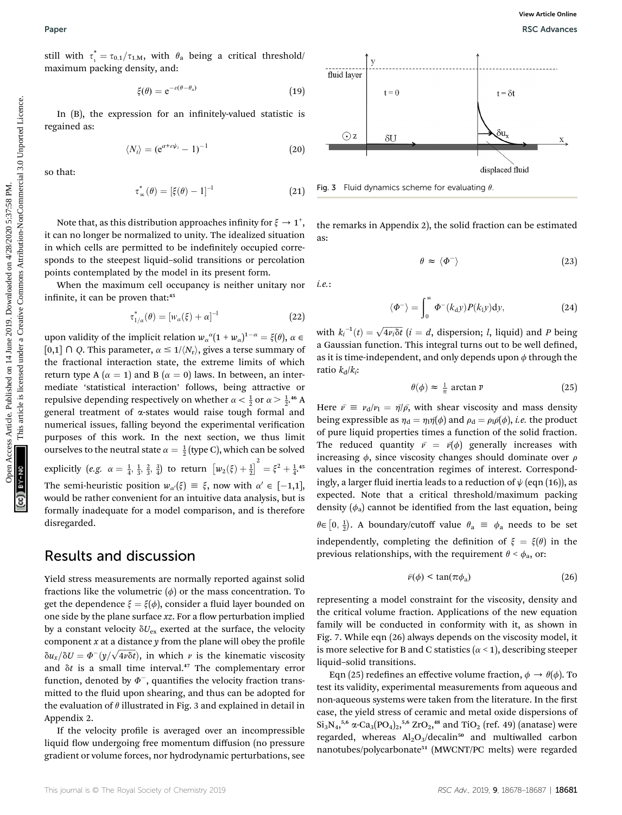still with  $\tau_1^* = \tau_{0,1}/\tau_{1,M}$ , with  $\theta_a$  being a critical threshold/<br>maximum positive density and. maximum packing density, and:

$$
\xi(\theta) = e^{-\varepsilon(\theta - \theta_a)} \tag{19}
$$

In (B), the expression for an infinitely-valued statistic is regained as:

$$
\langle N_i \rangle = (e^{a + \varepsilon \psi_i} - 1)^{-1}
$$
 (20)

so that:

$$
\tau_{\infty}^*(\theta) = \left[\xi(\theta) - 1\right]^{-1} \tag{21}
$$

Note that, as this distribution approaches infinity for  $\xi \rightarrow 1^+,$ it can no longer be normalized to unity. The idealized situation in which cells are permitted to be indefinitely occupied corresponds to the steepest liquid–solid transitions or percolation points contemplated by the model in its present form.

When the maximum cell occupancy is neither unitary nor infinite, it can be proven that:<sup>45</sup>

$$
\tau_{1/\alpha}^*(\theta) = [w_\alpha(\xi) + \alpha]^{-1} \tag{22}
$$

upon validity of the implicit relation  $w_{\alpha}^{\alpha} (1 + w_{\alpha})^{1-\alpha} = \xi(\theta)$ ,  $\alpha \in \mathbb{R}$  and  $\alpha \in \mathbb{R}$  and  $\alpha \in \mathbb{R}$  and  $\alpha \in \mathbb{R}$  and  $\alpha \in \mathbb{R}$  and  $\alpha \in \mathbb{R}$  and  $\alpha \in \mathbb{R}$  and  $\alpha \in \mathbb{R}$  and  $\alpha \in \mathbb{R}$  a [0,1]  $\cap$  Q. This parameter,  $\alpha \leq 1/(N_r)$ , gives a terse summary of the fractional interaction state, the extreme limits of which return type A ( $\alpha = 1$ ) and B ( $\alpha = 0$ ) laws. In between, an intermediate 'statistical interaction' follows, being attractive or repulsive depending respectively on whether  $\alpha < \frac{1}{2}$  or  $\alpha > \frac{1}{2}$ .<sup>46</sup> A general treatment of a-states would raise tough formal and numerical issues, falling beyond the experimental verification purposes of this work. In the next section, we thus limit ourselves to the neutral state  $\alpha = \frac{1}{2}$  (type C), which can be solved explicitly  $(e.g. \alpha = \frac{1}{4}, \frac{1}{3}, \frac{2}{3}, \frac{3}{4})$  to return  $\left[w_2(\xi) + \frac{1}{2}\right]^2 = \xi^2 + \frac{1}{4}$ .<sup>45</sup> The semi-heuristic position  $w_{\alpha}(\xi) \equiv \xi$ , now with  $\alpha' \in [-1,1]$ ,<br>would be rather convenient for an intuitive data analysis, but is would be rather convenient for an intuitive data analysis, but is formally inadequate for a model comparison, and is therefore disregarded. Open Access Article. Published on 14 June 2019. Downloaded on 4/28/2020 5:37:58 PM. This article is licensed under a [Creative Commons Attribution-NonCommercial 3.0 Unported Licence.](http://creativecommons.org/licenses/by-nc/3.0/) **[View Article Online](https://doi.org/10.1039/c9ra02150g)**

#### Results and discussion

Yield stress measurements are normally reported against solid fractions like the volumetric  $(\phi)$  or the mass concentration. To get the dependence  $\xi = \xi(\phi)$ , consider a fluid layer bounded on one side by the plane surface  $xz$ . For a flow perturbation implied by a constant velocity  $\delta U_{\text{ex}}$  exerted at the surface, the velocity component  $x$  at a distance  $y$  from the plane will obey the profile  $\delta u_x / \delta U = \Phi^{-}(y / \sqrt{4 \nu \delta t})$ , in which v is the kinematic viscosity and  $\delta t$  is a small time interval.<sup>47</sup> The complementary error function, denoted by  $\Phi^-$ , quantifies the velocity fraction transmitted to the fluid upon shearing, and thus can be adopted for the evaluation of  $\theta$  illustrated in Fig. 3 and explained in detail in Appendix 2.

If the velocity profile is averaged over an incompressible liquid flow undergoing free momentum diffusion (no pressure gradient or volume forces, nor hydrodynamic perturbations, see



Fig. 3 Fluid dynamics scheme for evaluating  $\theta$ .

i.e.:

the remarks in Appendix 2), the solid fraction can be estimated as:

$$
\theta \approx \langle \Phi^- \rangle \tag{23}
$$

$$
\langle \Phi^{-} \rangle = \int_{0}^{\infty} \Phi^{-}(k_{\rm d}y) P(k_{\rm l}y) \mathrm{d}y,\tag{24}
$$

with  $k_i^{-1}(t) = \sqrt{4\nu_i \delta t}$   $(i = d,$  dispersion; l, liquid) and P being a Gaussian function. This integral turns out to be well defined, as it is time-independent, and only depends upon  $\phi$  through the ratio  $k_d/k_i$ :

$$
\theta(\phi) \approx \frac{1}{\pi} \arctan \overline{\nu}
$$
 (25)

Here  $\bar{v} \equiv v_d/v_1 = \eta/\bar{\rho}$ , with shear viscosity and mass density being expressible as  $\eta_d = \eta_l \eta(\phi)$  and  $\rho_d = \rho_l \rho(\phi)$ , *i.e.* the product of pure liquid properties times a function of the solid fraction. The reduced quantity  $\bar{v} = \bar{v}(\phi)$  generally increases with increasing  $\phi$ , since viscosity changes should dominate over  $\rho$ values in the concentration regimes of interest. Correspondingly, a larger fluid inertia leads to a reduction of  $\psi$  (eqn (16)), as expected. Note that a critical threshold/maximum packing density  $(\phi_a)$  cannot be identified from the last equation, being  $\theta \in [0, \frac{1}{2})$ . A boundary/cutoff value  $\theta_a \equiv \phi_a$  needs to be set independently, completing the definition of  $\xi = \xi(\theta)$  in the previous relationships, with the requirement  $\theta < \phi_a$ , or:

$$
\bar{\nu}(\phi) < \tan(\pi \phi_a) \tag{26}
$$

representing a model constraint for the viscosity, density and the critical volume fraction. Applications of the new equation family will be conducted in conformity with it, as shown in Fig. 7. While eqn (26) always depends on the viscosity model, it is more selective for B and C statistics ( $\alpha$  < 1), describing steeper liquid–solid transitions.

Eqn (25) redefines an effective volume fraction,  $\phi \rightarrow \theta(\phi)$ . To test its validity, experimental measurements from aqueous and non-aqueous systems were taken from the literature. In the first case, the yield stress of ceramic and metal oxide dispersions of  $\rm{Si_3N_4,^{5,6}}$   $\alpha$ -Ca<sub>3</sub>(PO<sub>4</sub>)<sub>2</sub>,<sup>5,6</sup> ZrO<sub>2</sub>,<sup>48</sup> and TiO<sub>2</sub> (ref. 49) (anatase) were regarded, whereas  $Al_2O_3/d$ ecalin<sup>50</sup> and multiwalled carbon nanotubes/polycarbonate<sup>51</sup> (MWCNT/PC melts) were regarded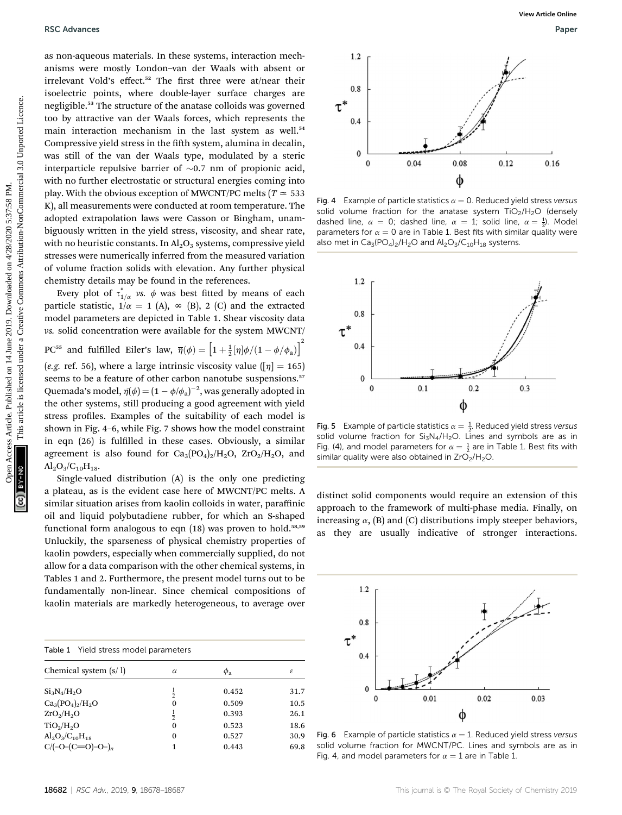as non-aqueous materials. In these systems, interaction mechanisms were mostly London–van der Waals with absent or irrelevant Vold's effect.<sup>52</sup> The first three were at/near their isoelectric points, where double-layer surface charges are negligible.<sup>53</sup> The structure of the anatase colloids was governed too by attractive van der Waals forces, which represents the main interaction mechanism in the last system as well.<sup>54</sup> Compressive yield stress in the fifth system, alumina in decalin, was still of the van der Waals type, modulated by a steric interparticle repulsive barrier of  $\sim 0.7$  nm of propionic acid, with no further electrostatic or structural energies coming into play. With the obvious exception of MWCNT/PC melts ( $T \approx 533$ ) K), all measurements were conducted at room temperature. The adopted extrapolation laws were Casson or Bingham, unambiguously written in the yield stress, viscosity, and shear rate, with no heuristic constants. In  $\text{Al}_2\text{O}_3$  systems, compressive yield stresses were numerically inferred from the measured variation of volume fraction solids with elevation. Any further physical chemistry details may be found in the references. **BSC Arbaness**<br>
as non-squeens, muterials, the theorem was objected to the shower article. Changes are<br>
interesting the value and we have been acceled to the access Article is likely<br>
the second on the second unit are dis

Every plot of  $\tau_{1/\alpha}^*$  vs.  $\phi$  was best fitted by means of each particle statistic,  $1/\alpha = 1$  (A),  $\infty$  (B), 2 (C) and the extracted model parameters are depicted in Table 1. Shear viscosity data vs. solid concentration were available for the system MWCNT/ PC<sup>55</sup> and fulfilled Eiler's law,  $\overline{\eta}(\phi) = \left[1 + \frac{1}{2}[\eta]\phi/(1 - \phi/\phi_{a})\right]^2$ 

(e.g. ref. 56), where a large intrinsic viscosity value ( $[\eta] = 165$ ) seems to be a feature of other carbon nanotube suspensions.<sup>57</sup> Quemada's model,  $\eta(\phi) = (1 - \phi/\phi_a)^{-2}$ , was generally adopted in the other guess of ill producing a good expression with viole the other systems, still producing a good agreement with yield stress profiles. Examples of the suitability of each model is shown in Fig. 4–6, while Fig. 7 shows how the model constraint in eqn (26) is fulfilled in these cases. Obviously, a similar agreement is also found for  $Ca_3(PO_4)_2/H_2O$ ,  $ZrO_2/H_2O$ , and  $Al_2O_3/C_{10}H_{18}$ .

Single-valued distribution (A) is the only one predicting a plateau, as is the evident case here of MWCNT/PC melts. A similar situation arises from kaolin colloids in water, paraffinic oil and liquid polybutadiene rubber, for which an S-shaped functional form analogous to eqn  $(18)$  was proven to hold.<sup>58,59</sup> Unluckily, the sparseness of physical chemistry properties of kaolin powders, especially when commercially supplied, do not allow for a data comparison with the other chemical systems, in Tables 1 and 2. Furthermore, the present model turns out to be fundamentally non-linear. Since chemical compositions of kaolin materials are markedly heterogeneous, to average over

| <b>Table 1</b> Yield stress model parameters |               |                |      |  |
|----------------------------------------------|---------------|----------------|------|--|
| Chemical system $(s/1)$                      | $\alpha$      | $\phi_{\rm a}$ | ε    |  |
| $Si_3N_4/H_2O$                               | $\frac{1}{2}$ | 0.452          | 31.7 |  |
| $Ca_3(PO_4)_2/H_2O$                          | $\Omega$      | 0.509          | 10.5 |  |
| ZrO <sub>2</sub> /H <sub>2</sub> O           | $\frac{1}{2}$ | 0.393          | 26.1 |  |
| TiO <sub>2</sub> /H <sub>2</sub> O           | 0             | 0.523          | 18.6 |  |
| $Al_2O_3/C_{10}H_{18}$                       | 0             | 0.527          | 30.9 |  |
| $C/(-O-(C=O)-O-)_n$                          | 1             | 0.443          | 69.8 |  |



Fig. 4 Example of particle statistics  $\alpha = 0$ . Reduced yield stress versus solid volume fraction for the anatase system  $TiO<sub>2</sub>/H<sub>2</sub>O$  (densely dashed line,  $\alpha = 0$ ; dashed line,  $\alpha = 1$ ; solid line,  $\alpha = \frac{1}{2}$ ). Model<br>parameters for  $\alpha = 0$  are in Table 1. Best fits with similar quality were parameters for  $\alpha = 0$  are in Table 1. Best fits with similar quality were also met in  $Ca_3(PO_4)_2/H_2O$  and  $Al_2O_3/C_{10}H_{18}$  systems.



Fig. 5 Example of particle statistics  $\alpha = \frac{1}{2}$ . Reduced yield stress versus<br>solid volume fraction for Si-N-/H-O, Lines and symbols are as in solid volume fraction for  $Si<sub>3</sub>N<sub>4</sub>/H<sub>2</sub>O$ . Lines and symbols are as in Fig. (4), and model parameters for  $\alpha = \frac{1}{2}$  are in Table 1. Best fits with similar quality were also obtained in  $ZrO$ . /H-O similar quality were also obtained in  $ZrO<sub>2</sub>/H<sub>2</sub>O$ .

distinct solid components would require an extension of this approach to the framework of multi-phase media. Finally, on increasing  $\alpha$ , (B) and (C) distributions imply steeper behaviors, as they are usually indicative of stronger interactions.



Fig. 6 Example of particle statistics  $\alpha = 1$ . Reduced yield stress versus solid volume fraction for MWCNT/PC. Lines and symbols are as in Fig. 4, and model parameters for  $\alpha = 1$  are in Table 1.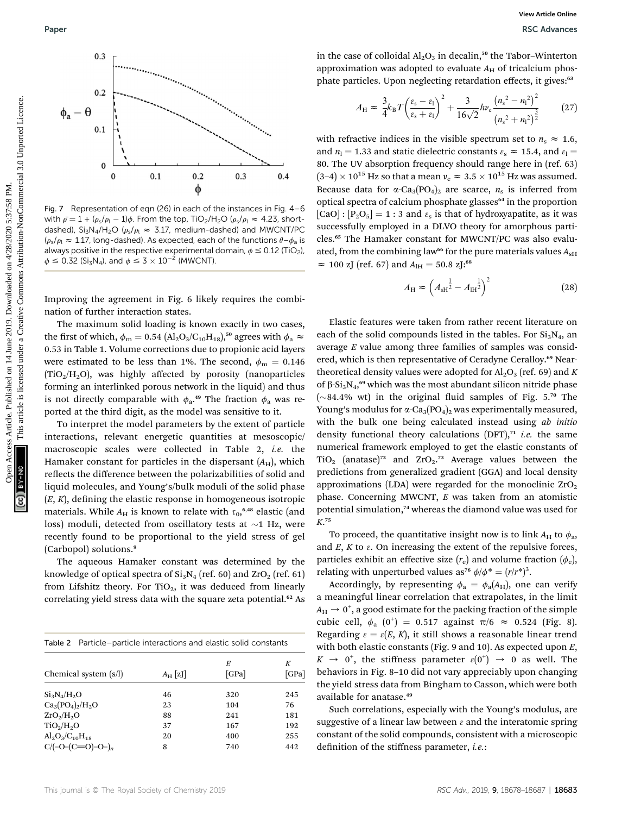

Fig. 7 Representation of eqn (26) in each of the instances in Fig. 4–6 with  $\bar{\rho} = 1 + (\rho_s/\rho_l - 1)\phi$ . From the top, TiO<sub>2</sub>/H<sub>2</sub>O ( $\rho_s/\rho_l \approx 4.23$ , short-<br>dashed). Si-N ./H-O (e /e,  $\approx 3.17$  medium-dashed) and MWCNT/PC dashed), Si<sub>3</sub>N<sub>4</sub>/H<sub>2</sub>O ( $\rho_s/\rho_l \approx 3.17$ , medium-dashed) and MWCNT/PC  $(\rho_s/\rho_l \approx 1.17$ , long-dashed). As expected, each of the functions  $\theta - \phi_a$  is always positive in the respective experimental domain,  $\phi \le 0.12$  (TiO<sub>2</sub>),  $\phi \leq 0.32$  (Si<sub>3</sub>N<sub>4</sub>), and  $\phi \leq 3 \times 10^{-2}$  (MWCNT).

Improving the agreement in Fig. 6 likely requires the combination of further interaction states.

The maximum solid loading is known exactly in two cases, the first of which,  $\phi_m = 0.54$  (Al<sub>2</sub>O<sub>3</sub>/C<sub>10</sub>H<sub>18</sub>),<sup>50</sup> agrees with  $\phi_a \approx$ 0.53 in Table 1. Volume corrections due to propionic acid layers were estimated to be less than 1%. The second,  $\phi_{\rm m} = 0.146$  $(TiO<sub>2</sub>/H<sub>2</sub>O)$ , was highly affected by porosity (nanoparticles forming an interlinked porous network in the liquid) and thus is not directly comparable with  $\phi_a$ .<sup>49</sup> The fraction  $\phi_a$  was reported at the third digit, as the model was sensitive to it.

To interpret the model parameters by the extent of particle interactions, relevant energetic quantities at mesoscopic/ macroscopic scales were collected in Table 2, i.e. the Hamaker constant for particles in the dispersant  $(A_H)$ , which reflects the difference between the polarizabilities of solid and liquid molecules, and Young's/bulk moduli of the solid phase  $(E, K)$ , defining the elastic response in homogeneous isotropic materials. While  $A_{\rm H}$  is known to relate with  $\tau_{0},^{6,48}$  elastic (and loss) moduli, detected from oscillatory tests at  $\sim$ 1 Hz, were recently found to be proportional to the yield stress of gel (Carbopol) solutions.<sup>9</sup>

The aqueous Hamaker constant was determined by the knowledge of optical spectra of  $Si<sub>3</sub>N<sub>4</sub>$  (ref. 60) and ZrO<sub>2</sub> (ref. 61) from Lifshitz theory. For  $TiO<sub>2</sub>$ , it was deduced from linearly correlating yield stress data with the square zeta potential.<sup>62</sup> As

| Table 2 Particle-particle interactions and elastic solid constants |            |            |            |  |
|--------------------------------------------------------------------|------------|------------|------------|--|
| Chemical system (s/l)                                              | $A_H$ [zJ] | E<br>[GPa] | K<br>[GPa] |  |
| $Si_3N_4/H_2O$                                                     | 46         | 320        | 245        |  |
| $Ca_3(PO_4)_2/H_2O$                                                | 23         | 104        | 76         |  |
| ZrO <sub>2</sub> /H <sub>2</sub> O                                 | 88         | 241        | 181        |  |
| TiO <sub>2</sub> /H <sub>2</sub> O                                 | 37         | 167        | 192        |  |
| $Al_2O_3/C_{10}H_{18}$                                             | 20         | 400        | 255        |  |
| $C/(-O-(C=O)-O^{-})_{n}$                                           | 8          | 740        | 442        |  |

in the case of colloidal  $Al_2O_3$  in decalin,<sup>50</sup> the Tabor-Winterton approximation was adopted to evaluate  $A_H$  of tricalcium phosphate particles. Upon neglecting retardation effects, it gives:<sup>63</sup>

$$
A_{\rm H} \approx \frac{3}{4} k_{\rm B} T \left( \frac{\varepsilon_{\rm s} - \varepsilon_{\rm l}}{\varepsilon_{\rm s} + \varepsilon_{\rm l}} \right)^2 + \frac{3}{16\sqrt{2}} h v_{\rm e} \frac{\left( n_{\rm s}^2 - n_{\rm l}^2 \right)^2}{\left( n_{\rm s}^2 + n_{\rm l}^2 \right)^{\frac{3}{2}}} \tag{27}
$$

with refractive indices in the visible spectrum set to  $n_s \approx 1.6$ , and  $n_1 = 1.33$  and static dielectric constants  $\varepsilon_s \approx 15.4$ , and  $\varepsilon_l =$ 80. The UV absorption frequency should range here in (ref. 63)  $(3-4) \times 10^{15}$  Hz so that a mean  $\nu_e \approx 3.5 \times 10^{15}$  Hz was assumed. Because data for  $\alpha$ -Ca<sub>3</sub>(PO<sub>4</sub>)<sub>2</sub> are scarce,  $n_s$  is inferred from optical spectra of calcium phosphate glasses<sup>64</sup> in the proportion  $[CaO] : [P<sub>2</sub>O<sub>5</sub>] = 1 : 3$  and  $\varepsilon<sub>s</sub>$  is that of hydroxyapatite, as it was successfully employed in a DLVO theory for amorphous particles.<sup>65</sup> The Hamaker constant for MWCNT/PC was also evaluated, from the combining law<sup>66</sup> for the pure materials values  $A_{\rm SH}$  $\approx 100$  zJ (ref. 67) and  $A_{\text{H}} = 50.8$  zJ:<sup>68</sup>

$$
A_{\rm H} \approx \left(A_{\rm sH}^{\frac{1}{2}} - A_{\rm H}^{\frac{1}{2}}\right)^2 \tag{28}
$$

Elastic features were taken from rather recent literature on each of the solid compounds listed in the tables. For  $Si<sub>3</sub>N<sub>4</sub>$ , an average E value among three families of samples was considered, which is then representative of Ceradyne Ceralloy.<sup>69</sup> Neartheoretical density values were adopted for  $\text{Al}_2\text{O}_3$  (ref. 69) and K of  $\beta$ -Si<sub>3</sub>N<sub>4</sub>,<sup>69</sup> which was the most abundant silicon nitride phase ( $\sim$ 84.4% wt) in the original fluid samples of Fig. 5.70 The Young's modulus for  $\alpha$ -Ca<sub>3</sub>(PO<sub>4</sub>)<sub>2</sub> was experimentally measured, with the bulk one being calculated instead using ab initio density functional theory calculations  $(DFT),<sup>71</sup>$  *i.e.* the same numerical framework employed to get the elastic constants of TiO<sub>2</sub> (anatase)<sup>72</sup> and  $ZrO<sub>2</sub>$ .<sup>73</sup> Average values between the predictions from generalized gradient (GGA) and local density approximations (LDA) were regarded for the monoclinic  $ZrO<sub>2</sub>$ phase. Concerning MWCNT, E was taken from an atomistic potential simulation,<sup>74</sup> whereas the diamond value was used for K. 75 Paper<br>
On  $\frac{1}{2}$  in the case of colloidal Al,O<sub>2</sub> in desiring,<sup>20</sup> the Tables-Women<br>  $\phi_n = 0$ <br>  $\phi_n = 0$ <br>  $\phi_n = 0$ <br>  $\phi_n = 0$ <br>  $\phi_n = 0$ <br>  $\phi_n = 0$ <br>  $\phi_n = 0$ <br>  $\phi_n = 0$ <br>  $\phi_n = 0$ <br>  $\phi_n = 0$ <br>  $\phi_n = 0$ <br>  $\phi_n = 0$ <br>  $\phi_n = 0$ <br>  $\phi$ 

> To proceed, the quantitative insight now is to link  $A_H$  to  $\phi_a$ , and  $E$ ,  $K$  to  $\varepsilon$ . On increasing the extent of the repulsive forces, particles exhibit an effective size  $(r_e)$  and volume fraction  $(\phi_e)$ , relating with unperturbed values as<sup>76</sup>  $\phi/\phi^* = (r/r^*)^3$ .<br>Accordingly, by representing  $\phi = \phi(A)$ , one

> Accordingly, by representing  $\phi_a = \phi_a(A_H)$ , one can verify a meaningful linear correlation that extrapolates, in the limit  $A_{\rm H} \rightarrow 0^+$ , a good estimate for the packing fraction of the simple cubic cell,  $\phi_a$  (0<sup>+</sup>) = 0.517 against  $\pi/6 \approx 0.524$  (Fig. 8).<br>Decarding  $\phi = \phi(F, K)$  it still shows a recognable linear trand Regarding  $\varepsilon = \varepsilon(E, K)$ , it still shows a reasonable linear trend with both elastic constants (Fig. 9 and 10). As expected upon E,  $K \rightarrow 0^+$ , the stiffness parameter  $\varepsilon(0^+) \rightarrow 0$  as well. The behaviors in Fig. 8–10 did not vary appreciably upon changing the yield stress data from Bingham to Casson, which were both available for anatase.<sup>49</sup>

> Such correlations, especially with the Young's modulus, are suggestive of a linear law between  $\varepsilon$  and the interatomic spring constant of the solid compounds, consistent with a microscopic definition of the stiffness parameter, *i.e.*: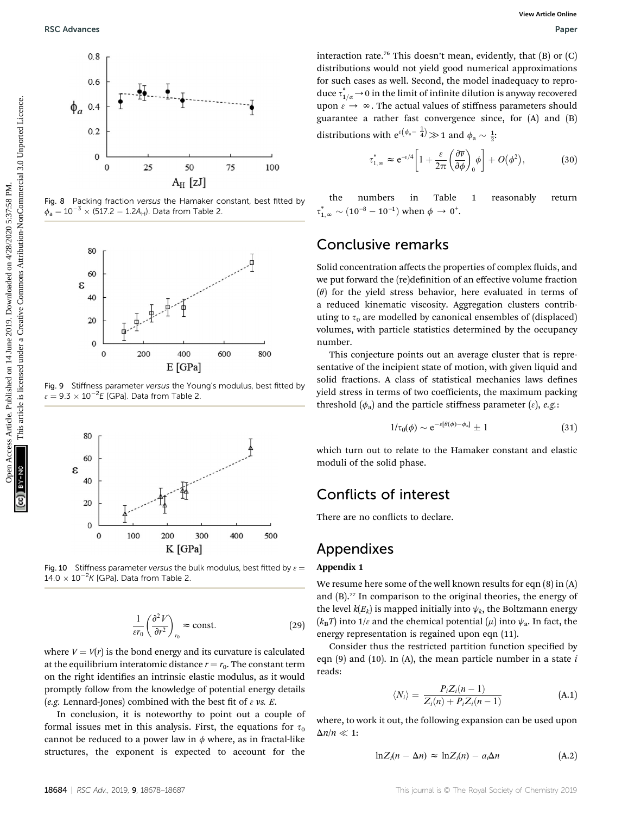

Fig. 8 Packing fraction versus the Hamaker constant, best fitted by  $\phi_a = 10^{-3} \times (517.2 - 1.2A_H)$ . Data from Table 2.



Fig. 9 Stiffness parameter versus the Young's modulus, best fitted by  $\varepsilon = 9.3 \times 10^{-2} E$  [GPa]. Data from Table 2.



Fig. 10 Stiffness parameter versus the bulk modulus, best fitted by  $\varepsilon =$  $14.0 \times 10^{-2} K$  [GPa]. Data from Table 2.

$$
\frac{1}{\varepsilon r_0} \left( \frac{\partial^2 V}{\partial r^2} \right)_{r_0} \approx \text{const.}
$$
 (29)

where  $V = V(r)$  is the bond energy and its curvature is calculated at the equilibrium interatomic distance  $r = r_0$ . The constant term on the right identifies an intrinsic elastic modulus, as it would promptly follow from the knowledge of potential energy details (e.g. Lennard-Jones) combined with the best fit of  $\varepsilon$  vs. E.

In conclusion, it is noteworthy to point out a couple of formal issues met in this analysis. First, the equations for  $\tau_0$ cannot be reduced to a power law in  $\phi$  where, as in fractal-like structures, the exponent is expected to account for the

interaction rate.<sup>76</sup> This doesn't mean, evidently, that  $(B)$  or  $(C)$ distributions would not yield good numerical approximations for such cases as well. Second, the model inadequacy to reproduce  $\tau^*_{1/\alpha} \rightarrow 0$  in the limit of infinite dilution is anyway recovered upon  $\varepsilon \to \infty$ . The actual values of stiffness parameters should guarantee a rather fast convergence since, for (A) and (B) distributions with  $e^{\varepsilon(\phi_a - \frac{1}{4})} \gg 1$  and  $\phi_a \sim \frac{1}{2}$ .

$$
\tau_{1,\infty}^* \approx e^{-\epsilon/4} \left[ 1 + \frac{\varepsilon}{2\pi} \left( \frac{\partial \overline{\nu}}{\partial \phi} \right)_0 \phi \right] + O(\phi^2), \tag{30}
$$

the numbers in Table 1 reasonably return  $\tau_{1,\infty}^* \sim (10^{-8} - 10^{-1})$  when  $\phi \to 0^*$ .

#### Conclusive remarks

Solid concentration affects the properties of complex fluids, and we put forward the (re)definition of an effective volume fraction  $(\theta)$  for the yield stress behavior, here evaluated in terms of a reduced kinematic viscosity. Aggregation clusters contributing to  $\tau_0$  are modelled by canonical ensembles of (displaced) volumes, with particle statistics determined by the occupancy number.

This conjecture points out an average cluster that is representative of the incipient state of motion, with given liquid and solid fractions. A class of statistical mechanics laws defines yield stress in terms of two coefficients, the maximum packing threshold  $(\phi_a)$  and the particle stiffness parameter  $(\varepsilon)$ , e.g.:

$$
1/\tau_0(\phi) \sim e^{-\varepsilon[\theta(\phi) - \phi_a]} \pm 1 \tag{31}
$$

which turn out to relate to the Hamaker constant and elastic moduli of the solid phase.

#### Conflicts of interest

There are no conflicts to declare.

#### Appendixes

#### Appendix 1

We resume here some of the well known results for eqn (8) in (A) and (B).<sup>77</sup> In comparison to the original theories, the energy of the level  $k(E_k)$  is mapped initially into  $\psi_k$ , the Boltzmann energy  $(k_BT)$  into 1/ $\varepsilon$  and the chemical potential  $(\mu)$  into  $\psi_a$ . In fact, the energy representation is regained upon eqn (11).

Consider thus the restricted partition function specified by eqn  $(9)$  and  $(10)$ . In  $(A)$ , the mean particle number in a state i reads:

$$
\langle N_i \rangle = \frac{P_i Z_i(n-1)}{Z_i(n) + P_i Z_i(n-1)}
$$
 (A.1)

where, to work it out, the following expansion can be used upon  $\Delta n/n \ll 1$ :

$$
\ln Z_i(n - \Delta n) \approx \ln Z_i(n) - a_i \Delta n \tag{A.2}
$$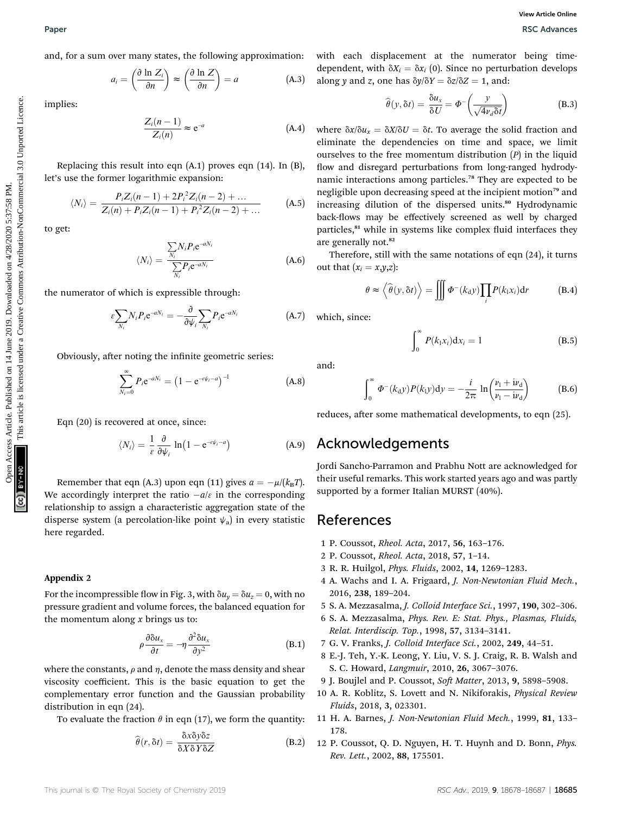and, for a sum over many states, the following approximation:

$$
a_i = \left(\frac{\partial \ln Z_i}{\partial n}\right) \approx \left(\frac{\partial \ln Z}{\partial n}\right) = a \tag{A.3}
$$

implies:

$$
\frac{Z_i(n-1)}{Z_i(n)} \approx e^{-a} \tag{A.4}
$$

Replacing this result into eqn (A.1) proves eqn (14). In (B), let's use the former logarithmic expansion:

$$
\langle N_i \rangle = \frac{P_i Z_i(n-1) + 2P_i^2 Z_i(n-2) + \dots}{Z_i(n) + P_i Z_i(n-1) + P_i^2 Z_i(n-2) + \dots}
$$
 (A.5)

to get:

$$
\langle N_i \rangle = \frac{\sum_{N_i} N_i P_i e^{-a N_i}}{\sum_{N_i} P_i e^{-a N_i}}
$$
(A.6)

the numerator of which is expressible through:

 $\epsilon \sum$  $\overline{N}_i$  $N_i P_i e^{-aN_i}$  $-\frac{\partial}{\partial x}$  $\partial \psi_i$  $\overline{\phantom{0}}$  $\overline{N}_i$  $P_i$ e<sup>-1</sup>  $(A.7)$ 

Obviously, after noting the infinite geometric series:

$$
\sum_{N_i=0}^{\infty} P_i e^{-aN_i} = (1 - e^{-\epsilon \psi_i - a})^{-1}
$$
 (A.8)

Eqn (20) is recovered at once, since:

$$
\langle N_i \rangle = \frac{1}{\varepsilon} \frac{\partial}{\partial \psi_i} \ln \left( 1 - e^{-\varepsilon \psi_i - a} \right) \tag{A.9}
$$

Remember that eqn (A.3) upon eqn (11) gives  $a = -\mu/(k_B T)$ . We accordingly interpret the ratio  $-a/\varepsilon$  in the corresponding<br>relationship to essign a share-territia expression state of the relationship to assign a characteristic aggregation state of the disperse system (a percolation-like point  $\psi_a$ ) in every statistic here regarded.

#### Appendix 2

For the incompressible flow in Fig. 3, with  $\delta u_y = \delta u_z = 0$ , with no pressure gradient and volume forces, the balanced equation for the momentum along  $x$  brings us to:

$$
\rho \frac{\partial \delta u_x}{\partial t} = -\eta \frac{\partial^2 \delta u_x}{\partial y^2}
$$
 (B.1)

where the constants,  $\rho$  and  $\eta$ , denote the mass density and shear viscosity coefficient. This is the basic equation to get the complementary error function and the Gaussian probability distribution in eqn (24).

To evaluate the fraction  $\theta$  in eqn (17), we form the quantity:

$$
\widehat{\theta}(r,\delta t) = \frac{\delta x \delta y \delta z}{\delta X \delta Y \delta Z}
$$
 (B.2)

with each displacement at the numerator being timedependent, with  $\delta X_i = \delta x_i$  (0). Since no perturbation develops along y and z, one has  $\delta y / \delta Y = \delta z / \delta Z = 1$ , and:

$$
\widehat{\theta}(y,\delta t) = \frac{\delta u_x}{\delta U} = \Phi^{-}\left(\frac{y}{\sqrt{4v_d\delta t}}\right)
$$
(B.3)

where  $\delta x/\delta u_x = \delta X/\delta U = \delta t$ . To average the solid fraction and eliminate the dependencies on time and space, we limit ourselves to the free momentum distribution  $(P)$  in the liquid flow and disregard perturbations from long-ranged hydrodynamic interactions among particles.<sup>78</sup> They are expected to be negligible upon decreasing speed at the incipient motion<sup>79</sup> and increasing dilution of the dispersed units.<sup>80</sup> Hydrodynamic back-flows may be effectively screened as well by charged particles,<sup>81</sup> while in systems like complex fluid interfaces they are generally not.<sup>82</sup> Paper<br>
and, for a sum over many states, the following approximation: with each displacement at the numerator being time<br>  $\alpha_1 = \begin{pmatrix} 3 \text{ h } Z(n) \\ 2\text{ m} \end{pmatrix} = \begin{pmatrix} 0 \text{ h } Z(n) \\ \text{ m} \end{pmatrix} = \begin{pmatrix} 0 \text{ h } Z(n) \\ \text{ m} \end{pmatrix} = e^{-1}$ 

Therefore, still with the same notations of eqn (24), it turns out that  $(x_i = x, y, z)$ :

$$
\theta \approx \left\langle \widehat{\theta}(y,\delta t) \right\rangle = \iiint \Phi^{-}(k_{\rm d}y) \prod_{i} P(k_{\rm i}x_{i}) dr \tag{B.4}
$$

which, since:

$$
\int_0^\infty P(k_1x_i) \mathrm{d}x_i = 1 \tag{B.5}
$$

and:

$$
\int_0^\infty \Phi^{-}(k_{\rm d}y) P(k_{\rm l}y) dy = -\frac{i}{2\pi} \ln\left(\frac{\nu_{\rm l} + i\nu_{\rm d}}{\nu_{\rm l} - i\nu_{\rm d}}\right) \tag{B.6}
$$

reduces, after some mathematical developments, to eqn (25).

#### Acknowledgements

Jordi Sancho-Parramon and Prabhu Nott are acknowledged for their useful remarks. This work started years ago and was partly supported by a former Italian MURST (40%).

#### References

- 1 P. Coussot, Rheol. Acta, 2017, 56, 163–176.
- 2 P. Coussot, Rheol. Acta, 2018, 57, 1–14.
- 3 R. R. Huilgol, Phys. Fluids, 2002, 14, 1269–1283.
- 4 A. Wachs and I. A. Frigaard, J. Non-Newtonian Fluid Mech., 2016, 238, 189–204.
- 5 S. A. Mezzasalma, J. Colloid Interface Sci., 1997, 190, 302–306.
- 6 S. A. Mezzasalma, Phys. Rev. E: Stat. Phys., Plasmas, Fluids, Relat. Interdiscip. Top., 1998, 57, 3134–3141.
- 7 G. V. Franks, J. Colloid Interface Sci., 2002, 249, 44–51.
- 8 E.-J. Teh, Y.-K. Leong, Y. Liu, V. S. J. Craig, R. B. Walsh and S. C. Howard, Langmuir, 2010, 26, 3067–3076.
- 9 J. Boujlel and P. Coussot, Soft Matter, 2013, 9, 5898-5908.
- 10 A. R. Koblitz, S. Lovett and N. Nikiforakis, Physical Review Fluids, 2018, 3, 023301.
- 11 H. A. Barnes, J. Non-Newtonian Fluid Mech., 1999, 81, 133– 178.
- 12 P. Coussot, Q. D. Nguyen, H. T. Huynh and D. Bonn, Phys. Rev. Lett., 2002, 88, 175501.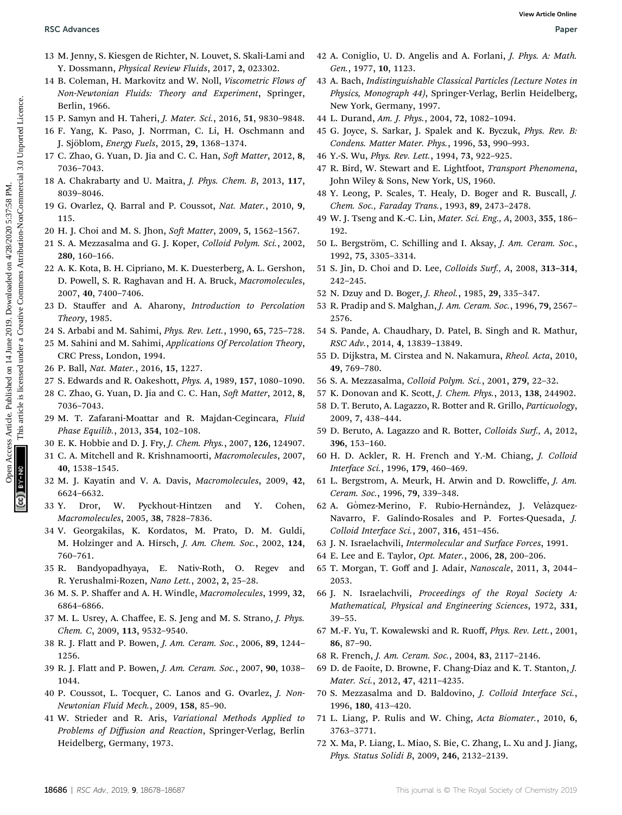- 13 M. Jenny, S. Kiesgen de Richter, N. Louvet, S. Skali-Lami and Y. Dossmann, Physical Review Fluids, 2017, 2, 023302.
- 14 B. Coleman, H. Markovitz and W. Noll, Viscometric Flows of Non-Newtonian Fluids: Theory and Experiment, Springer, Berlin, 1966.
- 15 P. Samyn and H. Taheri, J. Mater. Sci., 2016, 51, 9830–9848.
- 16 F. Yang, K. Paso, J. Norrman, C. Li, H. Oschmann and J. Sjöblom, *Energy Fuels*, 2015, 29, 1368-1374.
- 17 C. Zhao, G. Yuan, D. Jia and C. C. Han, Soft Matter, 2012, 8, 7036–7043.
- 18 A. Chakrabarty and U. Maitra, J. Phys. Chem. B, 2013, 117, 8039–8046.
- 19 G. Ovarlez, Q. Barral and P. Coussot, Nat. Mater., 2010, 9, 115.
- 20 H. J. Choi and M. S. Jhon, Soft Matter, 2009, 5, 1562-1567.
- 21 S. A. Mezzasalma and G. J. Koper, Colloid Polym. Sci., 2002, 280, 160–166.
- 22 A. K. Kota, B. H. Cipriano, M. K. Duesterberg, A. L. Gershon, D. Powell, S. R. Raghavan and H. A. Bruck, Macromolecules, 2007, 40, 7400–7406.
- 23 D. Stauffer and A. Aharony, Introduction to Percolation Theory, 1985.
- 24 S. Arbabi and M. Sahimi, Phys. Rev. Lett., 1990, 65, 725–728.
- 25 M. Sahini and M. Sahimi, Applications Of Percolation Theory, CRC Press, London, 1994.
- 26 P. Ball, Nat. Mater., 2016, 15, 1227.
- 27 S. Edwards and R. Oakeshott, Phys. A, 1989, 157, 1080–1090.
- 28 C. Zhao, G. Yuan, D. Jia and C. C. Han, Soft Matter, 2012, 8, 7036–7043.
- 29 M. T. Zafarani-Moattar and R. Majdan-Cegincara, Fluid Phase Equilib., 2013, 354, 102–108.
- 30 E. K. Hobbie and D. J. Fry, J. Chem. Phys., 2007, 126, 124907.
- 31 C. A. Mitchell and R. Krishnamoorti, Macromolecules, 2007, 40, 1538–1545.
- 32 M. J. Kayatin and V. A. Davis, Macromolecules, 2009, 42, 6624–6632.
- 33 Y. Dror, W. Pyckhout-Hintzen and Y. Cohen, Macromolecules, 2005, 38, 7828–7836.
- 34 V. Georgakilas, K. Kordatos, M. Prato, D. M. Guldi, M. Holzinger and A. Hirsch, J. Am. Chem. Soc., 2002, 124, 760–761.
- 35 R. Bandyopadhyaya, E. Nativ-Roth, O. Regev and R. Yerushalmi-Rozen, Nano Lett., 2002, 2, 25–28.
- 36 M. S. P. Shaffer and A. H. Windle, Macromolecules, 1999, 32, 6864–6866.
- 37 M. L. Usrey, A. Chaffee, E. S. Jeng and M. S. Strano, J. Phys. Chem. C, 2009, 113, 9532–9540.
- 38 R. J. Flatt and P. Bowen, J. Am. Ceram. Soc., 2006, 89, 1244– 1256.
- 39 R. J. Flatt and P. Bowen, J. Am. Ceram. Soc., 2007, 90, 1038– 1044.
- 40 P. Coussot, L. Tocquer, C. Lanos and G. Ovarlez, J. Non-Newtonian Fluid Mech., 2009, 158, 85–90.
- 41 W. Strieder and R. Aris, Variational Methods Applied to Problems of Diffusion and Reaction, Springer-Verlag, Berlin Heidelberg, Germany, 1973.
- 42 A. Coniglio, U. D. Angelis and A. Forlani, J. Phys. A: Math. Gen., 1977, 10, 1123.
- 43 A. Bach, Indistinguishable Classical Particles (Lecture Notes in Physics, Monograph 44), Springer-Verlag, Berlin Heidelberg, New York, Germany, 1997. **BSC Articles.** We whether Statistics, N. Lowes, S. Stalistanniand 42 A. Conjelly, U. D. Angels and A. Polaristic Phys. A. Non-<br>
1. Loweston, Physical Revise Article. Published Commons Articles. The Commons Article is lice
	- 44 L. Durand, Am. J. Phys., 2004, 72, 1082–1094.
	- 45 G. Joyce, S. Sarkar, J. Spalek and K. Byczuk, Phys. Rev. B: Condens. Matter Mater. Phys., 1996, 53, 990–993.
	- 46 Y.-S. Wu, Phys. Rev. Lett., 1994, 73, 922–925.
	- 47 R. Bird, W. Stewart and E. Lightfoot, Transport Phenomena, John Wiley & Sons, New York, US, 1960.
	- 48 Y. Leong, P. Scales, T. Healy, D. Boger and R. Buscall, J. Chem. Soc., Faraday Trans., 1993, 89, 2473–2478.
	- 49 W. J. Tseng and K.-C. Lin, Mater. Sci. Eng., A, 2003, 355, 186– 192.
	- 50 L. Bergström, C. Schilling and I. Aksay, J. Am. Ceram. Soc., 1992, 75, 3305–3314.
	- 51 S. Jin, D. Choi and D. Lee, Colloids Surf., A, 2008, 313–314, 242–245.
	- 52 N. Dzuy and D. Boger, J. Rheol., 1985, 29, 335–347.
	- 53 R. Pradip and S. Malghan, J. Am. Ceram. Soc., 1996, 79, 2567– 2576.
	- 54 S. Pande, A. Chaudhary, D. Patel, B. Singh and R. Mathur, RSC Adv., 2014, 4, 13839–13849.
	- 55 D. Dijkstra, M. Cirstea and N. Nakamura, Rheol. Acta, 2010, 49, 769–780.
	- 56 S. A. Mezzasalma, Colloid Polym. Sci., 2001, 279, 22–32.
	- 57 K. Donovan and K. Scott, J. Chem. Phys., 2013, 138, 244902.
	- 58 D. T. Beruto, A. Lagazzo, R. Botter and R. Grillo, Particuology, 2009, 7, 438–444.
	- 59 D. Beruto, A. Lagazzo and R. Botter, Colloids Surf., A, 2012, 396, 153–160.
	- 60 H. D. Ackler, R. H. French and Y.-M. Chiang, J. Colloid Interface Sci., 1996, 179, 460–469.
	- 61 L. Bergstrom, A. Meurk, H. Arwin and D. Rowcliffe, J. Am. Ceram. Soc., 1996, 79, 339–348.
	- 62 A. Gòmez-Merino, F. Rubio-Hernàndez, J. Velàzquez-Navarro, F. Galindo-Rosales and P. Fortes-Quesada, J. Colloid Interface Sci., 2007, 316, 451–456.
	- 63 J. N. Israelachvili, Intermolecular and Surface Forces, 1991.
	- 64 E. Lee and E. Taylor, Opt. Mater., 2006, 28, 200–206.
	- 65 T. Morgan, T. Goff and J. Adair, Nanoscale, 2011, 3, 2044– 2053.
	- 66 J. N. Israelachvili, Proceedings of the Royal Society A: Mathematical, Physical and Engineering Sciences, 1972, 331, 39–55.
	- 67 M.-F. Yu, T. Kowalewski and R. Ruoff, Phys. Rev. Lett., 2001, 86, 87–90.
	- 68 R. French, J. Am. Ceram. Soc., 2004, 83, 2117–2146.
	- 69 D. de Faoite, D. Browne, F. Chang-Díaz and K. T. Stanton, J. Mater. Sci., 2012, 47, 4211–4235.
	- 70 S. Mezzasalma and D. Baldovino, J. Colloid Interface Sci., 1996, 180, 413–420.
	- 71 L. Liang, P. Rulis and W. Ching, Acta Biomater., 2010, 6, 3763–3771.
	- 72 X. Ma, P. Liang, L. Miao, S. Bie, C. Zhang, L. Xu and J. Jiang, Phys. Status Solidi B, 2009, 246, 2132–2139.